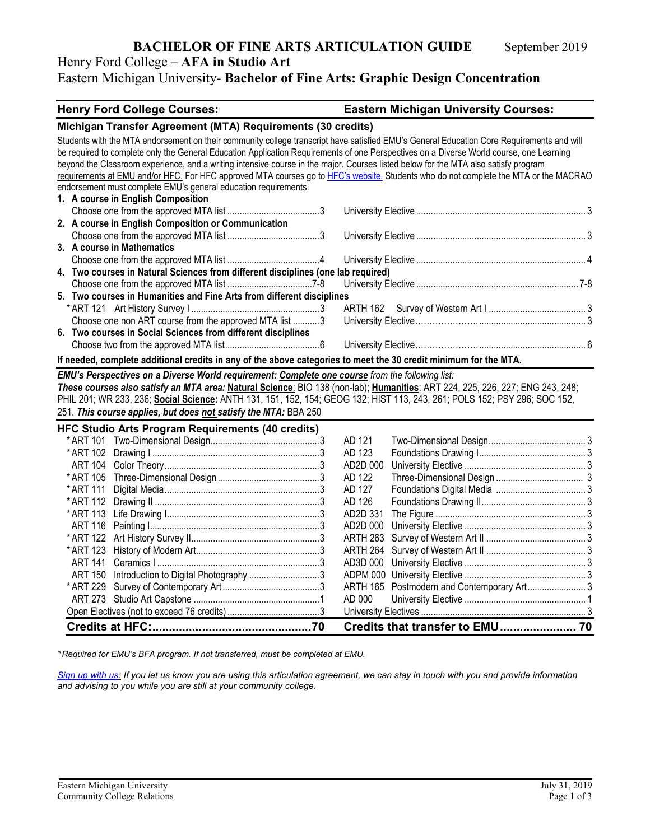## **BACHELOR OF FINE ARTS ARTICULATION GUIDE** September 2019

### Henry Ford College **– AFA in Studio Art** Eastern Michigan University- **Bachelor of Fine Arts: Graphic Design Concentration**

| <b>Henry Ford College Courses:</b>                                                                                                        | <b>Eastern Michigan University Courses:</b> |  |  |
|-------------------------------------------------------------------------------------------------------------------------------------------|---------------------------------------------|--|--|
| Michigan Transfer Agreement (MTA) Requirements (30 credits)                                                                               |                                             |  |  |
| Students with the MTA endorsement on their community college transcript have satisfied EMU's General Education Core Requirements and will |                                             |  |  |
| be required to complete only the General Education Application Requirements of one Perspectives on a Diverse World course, one Learning   |                                             |  |  |
| beyond the Classroom experience, and a writing intensive course in the major. Courses listed below for the MTA also satisfy program       |                                             |  |  |
| requirements at EMU and/or HFC. For HFC approved MTA courses go to HFC's website. Students who do not complete the MTA or the MACRAO      |                                             |  |  |
| endorsement must complete EMU's general education requirements.                                                                           |                                             |  |  |
| 1. A course in English Composition                                                                                                        |                                             |  |  |
|                                                                                                                                           |                                             |  |  |
| 2. A course in English Composition or Communication                                                                                       |                                             |  |  |
|                                                                                                                                           |                                             |  |  |
| 3. A course in Mathematics                                                                                                                |                                             |  |  |
|                                                                                                                                           |                                             |  |  |
| 4. Two courses in Natural Sciences from different disciplines (one lab required)                                                          |                                             |  |  |
|                                                                                                                                           |                                             |  |  |
| 5. Two courses in Humanities and Fine Arts from different disciplines                                                                     |                                             |  |  |
| Choose one non ART course from the approved MTA list 3                                                                                    |                                             |  |  |
| 6. Two courses in Social Sciences from different disciplines                                                                              |                                             |  |  |
|                                                                                                                                           |                                             |  |  |
|                                                                                                                                           |                                             |  |  |
| If needed, complete additional credits in any of the above categories to meet the 30 credit minimum for the MTA.                          |                                             |  |  |
| EMU's Perspectives on a Diverse World requirement: Complete one course from the following list:                                           |                                             |  |  |
| These courses also satisfy an MTA area: Natural Science: BIO 138 (non-lab); Humanities: ART 224, 225, 226, 227; ENG 243, 248;             |                                             |  |  |
| PHIL 201; WR 233, 236; Social Science: ANTH 131, 151, 152, 154; GEOG 132; HIST 113, 243, 261; POLS 152; PSY 296; SOC 152,                 |                                             |  |  |
| 251. This course applies, but does not satisfy the MTA: BBA 250                                                                           |                                             |  |  |
| <b>HFC Studio Arts Program Requirements (40 credits)</b>                                                                                  |                                             |  |  |
|                                                                                                                                           | AD 121                                      |  |  |
|                                                                                                                                           | AD 123                                      |  |  |
| ART 104                                                                                                                                   | AD2D 000                                    |  |  |
| * ART 105                                                                                                                                 | AD 122                                      |  |  |
| * ART 111                                                                                                                                 | AD 127                                      |  |  |
|                                                                                                                                           | AD 126                                      |  |  |
|                                                                                                                                           | AD2D 331                                    |  |  |
|                                                                                                                                           | AD2D 000                                    |  |  |
|                                                                                                                                           | ARTH 263                                    |  |  |
| * ART 123                                                                                                                                 | ARTH 264                                    |  |  |
| ART 141                                                                                                                                   | AD3D 000                                    |  |  |
| ART 150 Introduction to Digital Photography 3                                                                                             |                                             |  |  |
| * ART 229                                                                                                                                 |                                             |  |  |
|                                                                                                                                           | AD 000                                      |  |  |
|                                                                                                                                           |                                             |  |  |
|                                                                                                                                           | Credits that transfer to EMU 70             |  |  |

*\* Required for EMU's BFA program. If not transferred, must be completed at EMU.* 

*[Sign up with us:](https://www.emich.edu/ccr/articulation-agreements/signup.php) If you let us know you are using this articulation agreement, we can stay in touch with you and provide information and advising to you while you are still at your community college.*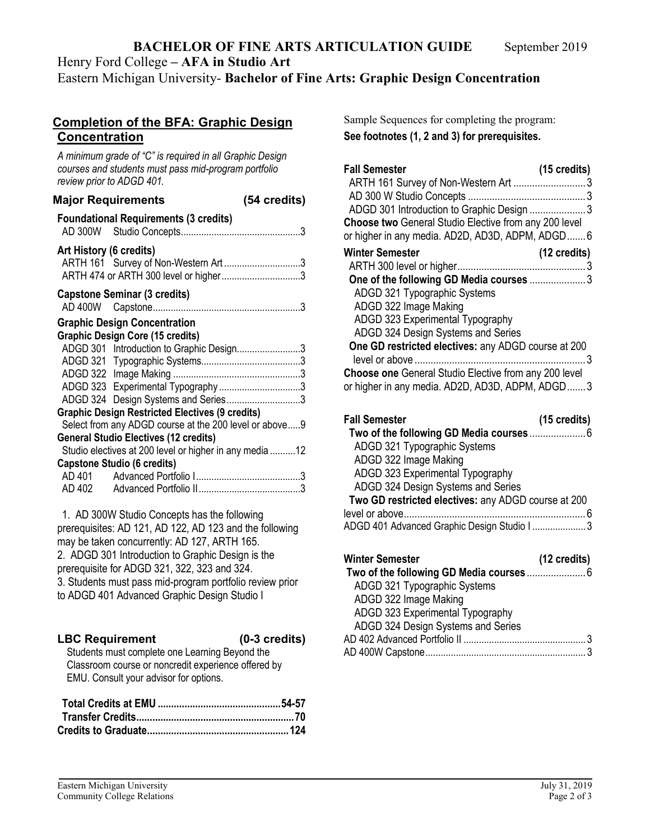# **BACHELOR OF FINE ARTS ARTICULATION GUIDE** September 2019

Henry Ford College **– AFA in Studio Art**

Eastern Michigan University- **Bachelor of Fine Arts: Graphic Design Concentration**

#### **Completion of the BFA: Graphic Design Concentration**

*A minimum grade of "C" is required in all Graphic Design courses and students must pass mid-program portfolio review prior to ADGD 401.*

|                         | <b>Major Requirements</b>                                                                                                                                        | (54 credits) |
|-------------------------|------------------------------------------------------------------------------------------------------------------------------------------------------------------|--------------|
|                         | <b>Foundational Requirements (3 credits)</b>                                                                                                                     |              |
| Art History (6 credits) | ARTH 161 Survey of Non-Western Art3<br>ARTH 474 or ARTH 300 level or higher3                                                                                     |              |
|                         | <b>Capstone Seminar (3 credits)</b>                                                                                                                              |              |
|                         | <b>Graphic Design Concentration</b><br><b>Graphic Design Core (15 credits)</b><br>ADGD 301 Introduction to Graphic Design3                                       |              |
|                         |                                                                                                                                                                  |              |
|                         | ADGD 323 Experimental Typography3<br>ADGD 324 Design Systems and Series3                                                                                         |              |
|                         | <b>Graphic Design Restricted Electives (9 credits)</b><br>Select from any ADGD course at the 200 level or above9<br><b>General Studio Electives (12 credits)</b> |              |
|                         | Studio electives at 200 level or higher in any media 12<br><b>Capstone Studio (6 credits)</b>                                                                    |              |
|                         |                                                                                                                                                                  |              |
|                         |                                                                                                                                                                  |              |

1. AD 300W Studio Concepts has the following prerequisites: AD 121, AD 122, AD 123 and the following may be taken concurrently: AD 127, ARTH 165. 2. ADGD 301 Introduction to Graphic Design is the prerequisite for ADGD 321, 322, 323 and 324. 3. Students must pass mid-program portfolio review prior to ADGD 401 Advanced Graphic Design Studio I

## **LBC Requirement (0-3 credits)**

Students must complete one Learning Beyond the Classroom course or noncredit experience offered by EMU. Consult your advisor for options.

Sample Sequences for completing the program: **See footnotes (1, 2 and 3) for prerequisites.**

| <b>Fall Semester</b>                                  | $(15 \text{ credits})$ |
|-------------------------------------------------------|------------------------|
|                                                       |                        |
| ADGD 301 Introduction to Graphic Design 3             |                        |
| Choose two General Studio Elective from any 200 level |                        |
| or higher in any media. AD2D, AD3D, ADPM, ADGD6       |                        |
| <b>Winter Semester</b>                                | $(12 \text{ credits})$ |
|                                                       |                        |
| One of the following GD Media courses 3               |                        |
| ADGD 321 Typographic Systems                          |                        |
| ADGD 322 Image Making                                 |                        |
| ADGD 323 Experimental Typography                      |                        |
| ADGD 324 Design Systems and Series                    |                        |
| One GD restricted electives: any ADGD course at 200   |                        |
| Choose one General Studio Elective from any 200 level |                        |
| or higher in any media. AD2D, AD3D, ADPM, ADGD3       |                        |

| <b>Fall Semester</b>                                | $(15 \text{ credits})$ |
|-----------------------------------------------------|------------------------|
|                                                     |                        |
| ADGD 321 Typographic Systems                        |                        |
| ADGD 322 Image Making                               |                        |
| ADGD 323 Experimental Typography                    |                        |
| ADGD 324 Design Systems and Series                  |                        |
| Two GD restricted electives: any ADGD course at 200 |                        |
|                                                     |                        |
| ADGD 401 Advanced Graphic Design Studio I  3        |                        |
|                                                     |                        |

| Winter Semester                    | $(12 \text{ credits})$ |
|------------------------------------|------------------------|
|                                    |                        |
| ADGD 321 Typographic Systems       |                        |
| ADGD 322 Image Making              |                        |
| ADGD 323 Experimental Typography   |                        |
| ADGD 324 Design Systems and Series |                        |
|                                    |                        |
|                                    |                        |